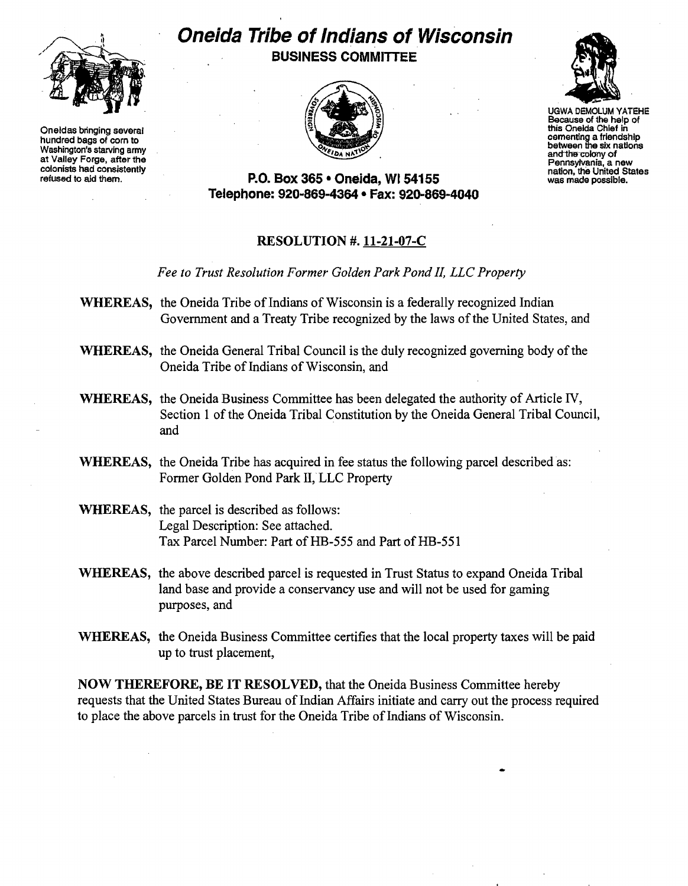

Oneidas bringing several this Oneida Chief in this Oneida Chief in this Oneida Chief in this Oneida Chief in the this Oneida Chief in the this Oneida Chief in the this Oneida Chief in the this Oneida Chief in the this Onei cementing a friendship<br>
Washington's starving army between the six nations washington's starving army between the six nations at Valley Forge, after the colony of antions and the colony of antions and the colony of antion,

## **Oneida Tribe of Indians of Wisconsin**

BUSINESS COMMITTEE





UGWA DEMOLUM VATEHE Because of the help of<br>this Oneida Chief in

refusive to a the United States colonists had consistently<br>refused to aid them. the United States<br>refused to aid them. **P.O. Box 365 · Oneida.** WI 54155 was made possible. Telephone: 920-869-4364 • Fax: 920-869-4040

## RESOLUTION #. 11-21-07-C

*Fee to Trust Resolution Former Golden Park Pond IL LLC Property* 

- WHEREAS, the Oneida Tribe of Indians of Wisconsin is a federally recognized Indian Government and a Treaty Tribe recognized by the laws of the United States, and
- WHEREAS, the Oneida General Tribal Council is the duly recognized governing body of the Oneida Tribe of Indians of Wisconsin, and
- WHEREAS, the Oneida Business Committee has been delegated the authority of Article IV, Section 1 of the Oneida Tribal Constitution by the Oneida General Tribal Council, and
- WHEREAS, the Oneida Tribe has acquired in fee status the following parcel described as: Former Golden Pond Park II, LLC Property
- WHEREAS, the parcel is described as follows: Legal Description: See attached. Tax Parcel Number: Part of HB-555 and Part of HB-551
- WHEREAS, the above described parcel is requested in Trust Status to expand Oneida Tribal land base and provide a conservancy use and will not be used for gaming purposes, and
- WHEREAS, the Oneida Business Committee certifies that the local property taxes will be paid up to trust placement,

NOW THEREFORE, BE IT RESOLVED, that the Oneida Business Committee hereby requests that the United States Bureau of Indian Affairs initiate and carry out the process required to place the above parcels in trust for the Oneida Tribe of Indians of Wisconsin.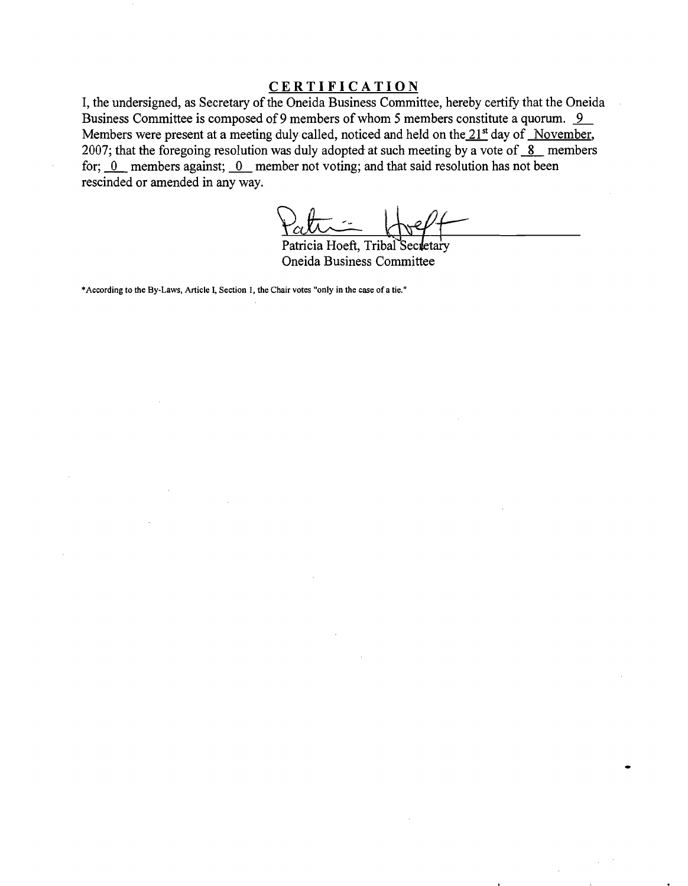## **CERTIFICATION**

I, the undersigned, as Secretary of the Oneida Business Committee, hereby certify that the Oneida Business Committee is composed of 9 members of whom 5 members constitute a quorum. <u>9</u> Members were present at a meeting duly called, noticed and held on the  $21<sup>st</sup>$  day of November, 2007; that the foregoing resolution was duly adopted at such meeting by a vote of  $8$  members for;  $\underline{0}$  members against;  $\underline{0}$  member not voting; and that said resolution has not been rescinded or amended in any way.

Patricia Hoeft, Tribal Secretary

Oneida Business Committee

\*According to the By-Laws, Article I, Section 1, the Chair votes "only in the case of a tie."